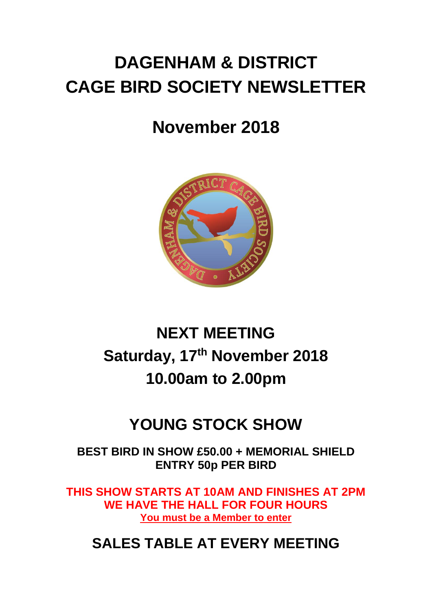# **DAGENHAM & DISTRICT CAGE BIRD SOCIETY NEWSLETTER**

# **November 2018**



# **NEXT MEETING Saturday, 17th November 2018 10.00am to 2.00pm**

## **YOUNG STOCK SHOW**

**BEST BIRD IN SHOW £50.00 + MEMORIAL SHIELD ENTRY 50p PER BIRD**

**THIS SHOW STARTS AT 10AM AND FINISHES AT 2PM WE HAVE THE HALL FOR FOUR HOURS You must be a Member to enter**

## **SALES TABLE AT EVERY MEETING**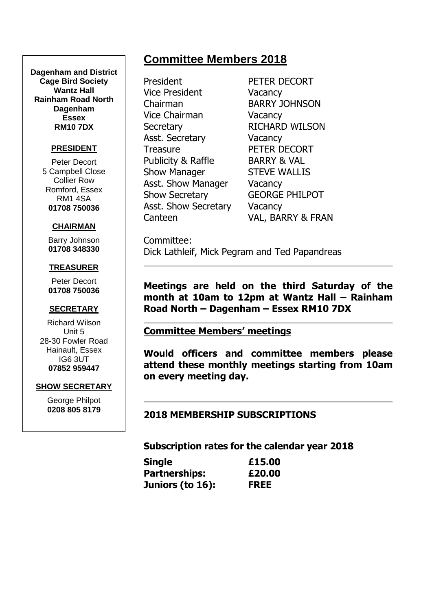#### **Dagenham and District Cage Bird Society Wantz Hall Rainham Road North Dagenham Essex RM10 7DX**

#### **PRESIDENT**

Peter Decort 5 Campbell Close Collier Row Romford, Essex RM1 4SA **01708 750036**

#### **CHAIRMAN**

Barry Johnson **01708 348330**

#### **TREASURER**

Peter Decort **01708 750036**

#### **SECRETARY**

Richard Wilson Unit 5 28-30 Fowler Road Hainault, Essex IG6 3UT **07852 959447**

#### **SHOW SECRETARY**

George Philpot **0208 805 8179**

## **Committee Members 2018**

President PETER DECORT Vice President Vacancy Chairman BARRY JOHNSON Vice Chairman Vacancy Secretary RICHARD WILSON Asst. Secretary **Vacancy** Treasure PETER DECORT Publicity & Raffle BARRY & VAL Show Manager STEVE WALLIS Asst. Show Manager Vacancy Show Secretary GEORGE PHILPOT Asst. Show Secretary Vacancy

Canteen VAL, BARRY & FRAN

Committee: Dick Lathleif, Mick Pegram and Ted Papandreas

**Meetings are held on the third Saturday of the month at 10am to 12pm at Wantz Hall – Rainham Road North – Dagenham – Essex RM10 7DX**

#### **Committee Members' meetings**

**Would officers and committee members please attend these monthly meetings starting from 10am on every meeting day.**

#### **2018 MEMBERSHIP SUBSCRIPTIONS**

**Subscription rates for the calendar year 2018**

| <b>Single</b>        | £15.00      |
|----------------------|-------------|
| <b>Partnerships:</b> | £20.00      |
| Juniors (to 16):     | <b>FREE</b> |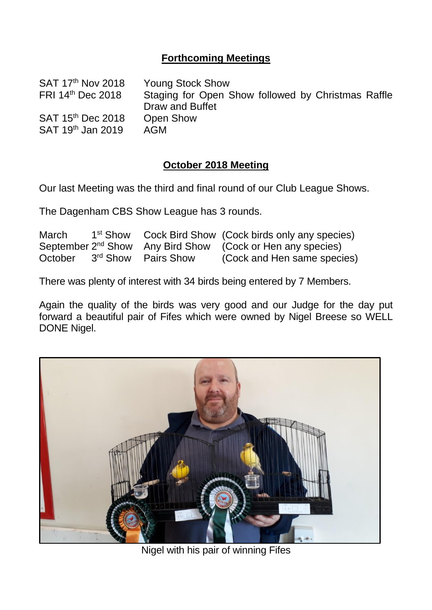### **Forthcoming Meetings**

| <b>Young Stock Show</b>                            |
|----------------------------------------------------|
| Staging for Open Show followed by Christmas Raffle |
| Draw and Buffet                                    |
| <b>Open Show</b>                                   |
| AGM                                                |
|                                                    |

#### **October 2018 Meeting**

Our last Meeting was the third and final round of our Club League Shows.

The Dagenham CBS Show League has 3 rounds.

| March   |                                 | 1 <sup>st</sup> Show Cock Bird Show (Cock birds only any species)      |
|---------|---------------------------------|------------------------------------------------------------------------|
|         |                                 | September 2 <sup>nd</sup> Show Any Bird Show (Cock or Hen any species) |
| October | 3 <sup>rd</sup> Show Pairs Show | (Cock and Hen same species)                                            |

There was plenty of interest with 34 birds being entered by 7 Members.

Again the quality of the birds was very good and our Judge for the day put forward a beautiful pair of Fifes which were owned by Nigel Breese so WELL DONE Nigel.



Nigel with his pair of winning Fifes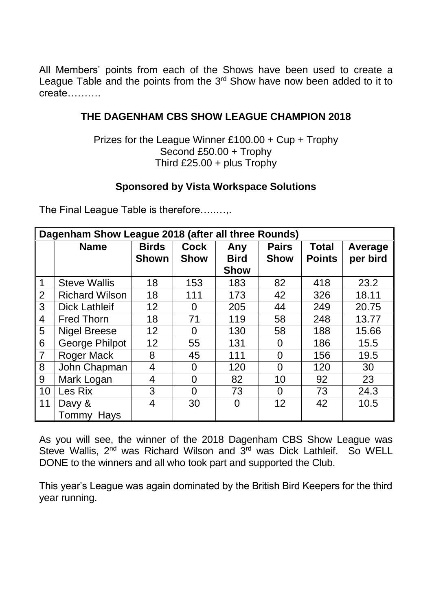All Members' points from each of the Shows have been used to create a League Table and the points from the  $3<sup>rd</sup>$  Show have now been added to it to create……….

#### **THE DAGENHAM CBS SHOW LEAGUE CHAMPION 2018**

Prizes for the League Winner £100.00 + Cup + Trophy Second £50.00 + Trophy Third £25.00 + plus Trophy

### **Sponsored by Vista Workspace Solutions**

The Final League Table is therefore…..…,.

| Dagenham Show League 2018 (after all three Rounds) |                                                                                   |              |             |             |                 |               |          |
|----------------------------------------------------|-----------------------------------------------------------------------------------|--------------|-------------|-------------|-----------------|---------------|----------|
|                                                    | <b>Birds</b><br><b>Name</b><br><b>Pairs</b><br><b>Cock</b><br><b>Total</b><br>Any |              |             |             | Average         |               |          |
|                                                    |                                                                                   | <b>Shown</b> | <b>Show</b> | <b>Bird</b> | <b>Show</b>     | <b>Points</b> | per bird |
|                                                    |                                                                                   |              |             | <b>Show</b> |                 |               |          |
| $\mathbf{1}$                                       | <b>Steve Wallis</b>                                                               | 18           | 153         | 183         | 82              | 418           | 23.2     |
| $\overline{2}$                                     | <b>Richard Wilson</b>                                                             | 18           | 111         | 173         | 42              | 326           | 18.11    |
| 3                                                  | <b>Dick Lathleif</b>                                                              | 12           | 0           | 205         | 44              | 249           | 20.75    |
| $\overline{4}$                                     | <b>Fred Thorn</b>                                                                 | 18           | 71          | 119         | 58              | 248           | 13.77    |
| 5                                                  | <b>Nigel Breese</b>                                                               | 12           | 0           | 130         | 58              | 188           | 15.66    |
| 6                                                  | <b>George Philpot</b>                                                             | 12           | 55          | 131         | 0               | 186           | 15.5     |
| $\overline{7}$                                     | <b>Roger Mack</b>                                                                 | 8            | 45          | 111         | $\Omega$        | 156           | 19.5     |
| 8                                                  | John Chapman                                                                      | 4            | $\Omega$    | 120         | $\Omega$        | 120           | 30       |
| 9                                                  | Mark Logan                                                                        | 4            | $\Omega$    | 82          | 10              | 92            | 23       |
| 10                                                 | Les Rix                                                                           | 3            | 0           | 73          | $\Omega$        | 73            | 24.3     |
| 11                                                 | Davy &                                                                            | 4            | 30          | 0           | 12 <sup>2</sup> | 42            | 10.5     |
|                                                    | Tommy Hays                                                                        |              |             |             |                 |               |          |

As you will see, the winner of the 2018 Dagenham CBS Show League was Steve Wallis, 2<sup>nd</sup> was Richard Wilson and 3<sup>rd</sup> was Dick Lathleif. So WELL DONE to the winners and all who took part and supported the Club.

This year's League was again dominated by the British Bird Keepers for the third year running.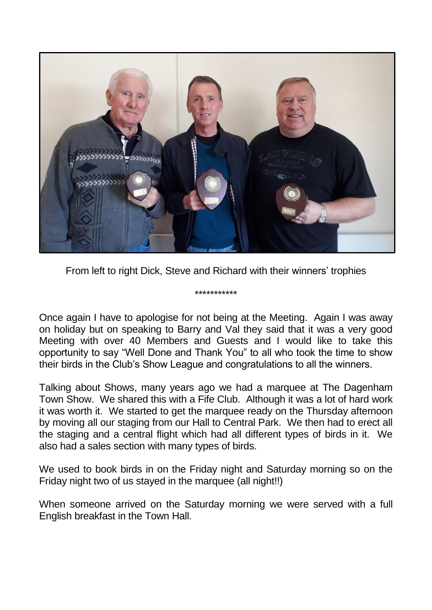

From left to right Dick, Steve and Richard with their winners' trophies

\*\*\*\*\*\*\*\*\*\*\*

Once again I have to apologise for not being at the Meeting. Again I was away on holiday but on speaking to Barry and Val they said that it was a very good Meeting with over 40 Members and Guests and I would like to take this opportunity to say "Well Done and Thank You" to all who took the time to show their birds in the Club's Show League and congratulations to all the winners.

Talking about Shows, many years ago we had a marquee at The Dagenham Town Show. We shared this with a Fife Club. Although it was a lot of hard work it was worth it. We started to get the marquee ready on the Thursday afternoon by moving all our staging from our Hall to Central Park. We then had to erect all the staging and a central flight which had all different types of birds in it. We also had a sales section with many types of birds.

We used to book birds in on the Friday night and Saturday morning so on the Friday night two of us stayed in the marquee (all night!!)

When someone arrived on the Saturday morning we were served with a full English breakfast in the Town Hall.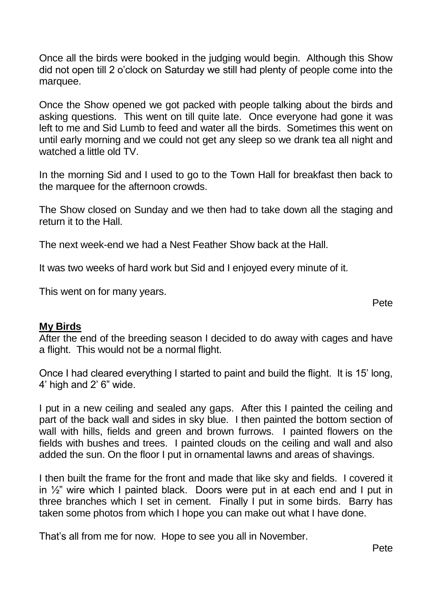Once all the birds were booked in the judging would begin. Although this Show did not open till 2 o'clock on Saturday we still had plenty of people come into the marquee.

Once the Show opened we got packed with people talking about the birds and asking questions. This went on till quite late. Once everyone had gone it was left to me and Sid Lumb to feed and water all the birds. Sometimes this went on until early morning and we could not get any sleep so we drank tea all night and watched a little old TV.

In the morning Sid and I used to go to the Town Hall for breakfast then back to the marquee for the afternoon crowds.

The Show closed on Sunday and we then had to take down all the staging and return it to the Hall.

The next week-end we had a Nest Feather Show back at the Hall.

It was two weeks of hard work but Sid and I enjoyed every minute of it.

This went on for many years.

Pete

#### **My Birds**

After the end of the breeding season I decided to do away with cages and have a flight. This would not be a normal flight.

Once I had cleared everything I started to paint and build the flight. It is 15' long, 4' high and 2' 6" wide.

I put in a new ceiling and sealed any gaps. After this I painted the ceiling and part of the back wall and sides in sky blue. I then painted the bottom section of wall with hills, fields and green and brown furrows. I painted flowers on the fields with bushes and trees. I painted clouds on the ceiling and wall and also added the sun. On the floor I put in ornamental lawns and areas of shavings.

I then built the frame for the front and made that like sky and fields. I covered it in  $\frac{1}{2}$ " wire which I painted black. Doors were put in at each end and I put in three branches which I set in cement. Finally I put in some birds. Barry has taken some photos from which I hope you can make out what I have done.

That's all from me for now. Hope to see you all in November.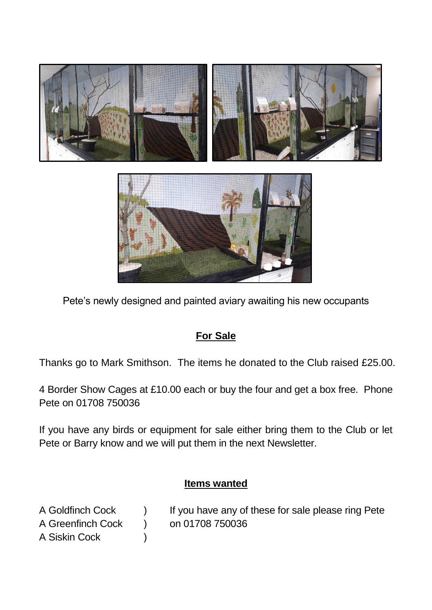

Pete's newly designed and painted aviary awaiting his new occupants

## **For Sale**

Thanks go to Mark Smithson. The items he donated to the Club raised £25.00.

4 Border Show Cages at £10.00 each or buy the four and get a box free. Phone Pete on 01708 750036

If you have any birds or equipment for sale either bring them to the Club or let Pete or Barry know and we will put them in the next Newsletter.

## **Items wanted**

- A Goldfinch Cock ) If you have any of these for sale please ring Pete A Greenfinch Cock ) on 01708 750036
- A Siskin Cock )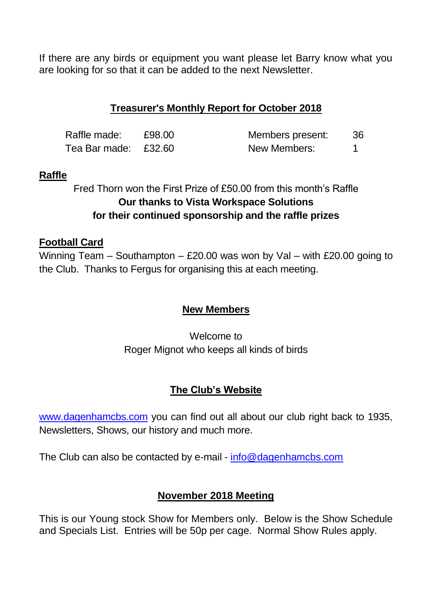If there are any birds or equipment you want please let Barry know what you are looking for so that it can be added to the next Newsletter.

### **Treasurer's Monthly Report for October 2018**

| Raffle made:         | £98.00 | Members present: | 36 |
|----------------------|--------|------------------|----|
| Tea Bar made: £32.60 |        | New Members:     |    |

#### **Raffle**

Fred Thorn won the First Prize of £50.00 from this month's Raffle **Our thanks to Vista Workspace Solutions for their continued sponsorship and the raffle prizes**

#### **Football Card**

Winning Team – Southampton – £20.00 was won by Val – with £20.00 going to the Club. Thanks to Fergus for organising this at each meeting.

#### **New Members**

Welcome to Roger Mignot who keeps all kinds of birds

#### **The Club's Website**

[www.dagenhamcbs.com](http://www.dagenhamcbs.com/) you can find out all about our club right back to 1935, Newsletters, Shows, our history and much more.

The Club can also be contacted by e-mail - [info@dagenhamcbs.com](mailto:info@dagenhamcbs.com)

#### **November 2018 Meeting**

This is our Young stock Show for Members only. Below is the Show Schedule and Specials List. Entries will be 50p per cage. Normal Show Rules apply.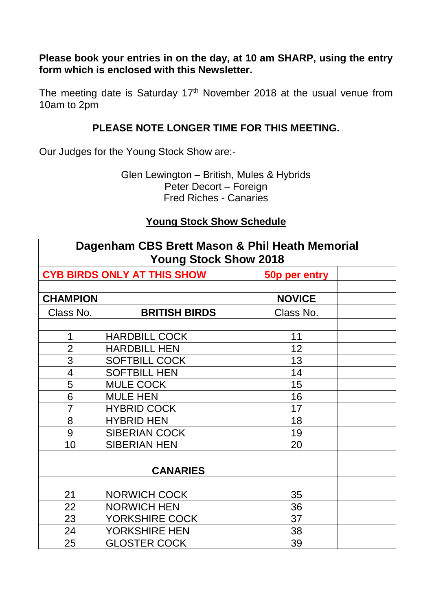**Please book your entries in on the day, at 10 am SHARP, using the entry form which is enclosed with this Newsletter.**

The meeting date is Saturday  $17<sup>th</sup>$  November 2018 at the usual venue from 10am to 2pm

#### **PLEASE NOTE LONGER TIME FOR THIS MEETING.**

Our Judges for the Young Stock Show are:-

Glen Lewington – British, Mules & Hybrids Peter Decort – Foreign Fred Riches - Canaries

#### **Young Stock Show Schedule**

| Dagenham CBS Brett Mason & Phil Heath Memorial<br><b>Young Stock Show 2018</b> |                      |               |  |
|--------------------------------------------------------------------------------|----------------------|---------------|--|
| <b>CYB BIRDS ONLY AT THIS SHOW</b><br>50p per entry                            |                      |               |  |
|                                                                                |                      |               |  |
| <b>CHAMPION</b>                                                                |                      | <b>NOVICE</b> |  |
| Class No.                                                                      | <b>BRITISH BIRDS</b> | Class No.     |  |
|                                                                                |                      |               |  |
| 1                                                                              | <b>HARDBILL COCK</b> | 11            |  |
| $\overline{2}$                                                                 | <b>HARDBILL HEN</b>  | 12            |  |
| $\overline{3}$                                                                 | <b>SOFTBILL COCK</b> | 13            |  |
| $\overline{4}$                                                                 | <b>SOFTBILL HEN</b>  | 14            |  |
| 5                                                                              | <b>MULE COCK</b>     | 15            |  |
| 6                                                                              | <b>MULE HEN</b>      | 16            |  |
| $\overline{7}$                                                                 | <b>HYBRID COCK</b>   | 17            |  |
| 8                                                                              | <b>HYBRID HEN</b>    | 18            |  |
| 9                                                                              | <b>SIBERIAN COCK</b> | 19            |  |
| 10                                                                             | <b>SIBERIAN HEN</b>  | 20            |  |
|                                                                                |                      |               |  |
|                                                                                | <b>CANARIES</b>      |               |  |
|                                                                                |                      |               |  |
| 21                                                                             | <b>NORWICH COCK</b>  | 35            |  |
| 22                                                                             | <b>NORWICH HEN</b>   | 36            |  |
| 23                                                                             | YORKSHIRE COCK       | 37            |  |
| 24                                                                             | YORKSHIRE HEN        | 38            |  |
| 25                                                                             | <b>GLOSTER COCK</b>  | 39            |  |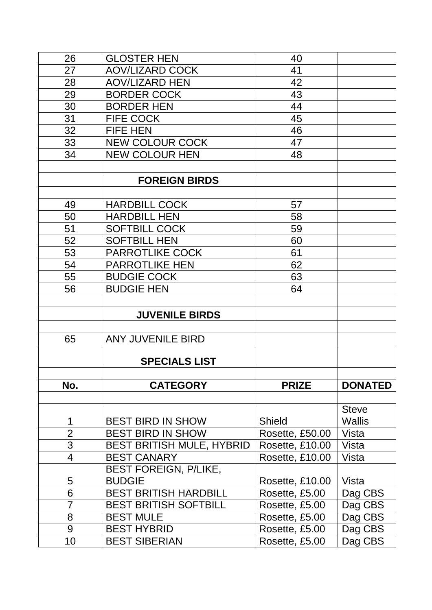| 26             | <b>GLOSTER HEN</b>               | 40              |                |
|----------------|----------------------------------|-----------------|----------------|
| 27             | <b>AOV/LIZARD COCK</b>           | 41              |                |
| 28             | <b>AOV/LIZARD HEN</b>            | 42              |                |
| 29             | <b>BORDER COCK</b>               | 43              |                |
| 30             | <b>BORDER HEN</b>                | 44              |                |
| 31             | <b>FIFE COCK</b>                 | 45              |                |
| 32             | <b>FIFE HEN</b>                  | 46              |                |
| 33             | <b>NEW COLOUR COCK</b>           | 47              |                |
| 34             | <b>NEW COLOUR HEN</b>            | 48              |                |
|                |                                  |                 |                |
|                | <b>FOREIGN BIRDS</b>             |                 |                |
|                |                                  |                 |                |
| 49             | <b>HARDBILL COCK</b>             | 57              |                |
| 50             | <b>HARDBILL HEN</b>              | 58              |                |
| 51             | <b>SOFTBILL COCK</b>             | 59              |                |
| 52             | <b>SOFTBILL HEN</b>              | 60              |                |
| 53             | <b>PARROTLIKE COCK</b>           | 61              |                |
| 54             | <b>PARROTLIKE HEN</b>            | 62              |                |
| 55             | <b>BUDGIE COCK</b>               | 63              |                |
| 56             | <b>BUDGIE HEN</b>                | 64              |                |
|                |                                  |                 |                |
|                | <b>JUVENILE BIRDS</b>            |                 |                |
| 65             | <b>ANY JUVENILE BIRD</b>         |                 |                |
|                |                                  |                 |                |
|                | <b>SPECIALS LIST</b>             |                 |                |
|                |                                  |                 |                |
| No.            | <b>CATEGORY</b>                  | <b>PRIZE</b>    | <b>DONATED</b> |
|                |                                  |                 |                |
|                |                                  |                 | <b>Steve</b>   |
| 1              | <b>BEST BIRD IN SHOW</b>         | <b>Shield</b>   | <b>Wallis</b>  |
| $\overline{2}$ | <b>BEST BIRD IN SHOW</b>         | Rosette, £50.00 | Vista          |
| 3              | <b>BEST BRITISH MULE, HYBRID</b> | Rosette, £10.00 | Vista          |
| $\overline{4}$ | <b>BEST CANARY</b>               | Rosette, £10.00 | Vista          |
|                | <b>BEST FOREIGN, P/LIKE,</b>     |                 |                |
| 5              | <b>BUDGIE</b>                    | Rosette, £10.00 | Vista          |
| 6              | <b>BEST BRITISH HARDBILL</b>     | Rosette, £5.00  | Dag CBS        |
| $\overline{7}$ | <b>BEST BRITISH SOFTBILL</b>     | Rosette, £5.00  | Dag CBS        |
| 8              | <b>BEST MULE</b>                 | Rosette, £5.00  | Dag CBS        |
| 9              | <b>BEST HYBRID</b>               | Rosette, £5.00  | Dag CBS        |
| 10             | <b>BEST SIBERIAN</b>             | Rosette, £5.00  | Dag CBS        |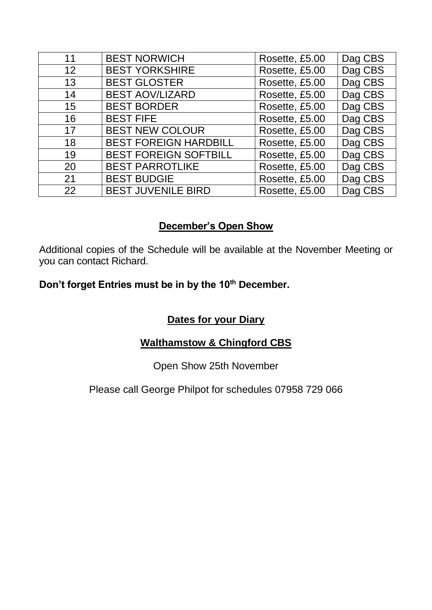| 11 | <b>BEST NORWICH</b>          | Rosette, £5.00 | Dag CBS |
|----|------------------------------|----------------|---------|
| 12 | <b>BEST YORKSHIRE</b>        | Rosette, £5.00 | Dag CBS |
| 13 | <b>BEST GLOSTER</b>          | Rosette, £5.00 | Dag CBS |
| 14 | <b>BEST AOV/LIZARD</b>       | Rosette, £5.00 | Dag CBS |
| 15 | <b>BEST BORDER</b>           | Rosette, £5.00 | Dag CBS |
| 16 | <b>BEST FIFE</b>             | Rosette, £5.00 | Dag CBS |
| 17 | <b>BEST NEW COLOUR</b>       | Rosette, £5.00 | Dag CBS |
| 18 | <b>BEST FOREIGN HARDBILL</b> | Rosette, £5.00 | Dag CBS |
| 19 | <b>BEST FOREIGN SOFTBILL</b> | Rosette, £5.00 | Dag CBS |
| 20 | <b>BEST PARROTLIKE</b>       | Rosette, £5.00 | Dag CBS |
| 21 | <b>BEST BUDGIE</b>           | Rosette, £5.00 | Dag CBS |
| 22 | <b>BEST JUVENILE BIRD</b>    | Rosette, £5.00 | Dag CBS |

## **December's Open Show**

Additional copies of the Schedule will be available at the November Meeting or you can contact Richard.

## **Don't forget Entries must be in by the 10th December.**

## **Dates for your Diary**

## **Walthamstow & Chingford CBS**

#### Open Show 25th November

#### Please call George Philpot for schedules 07958 729 066